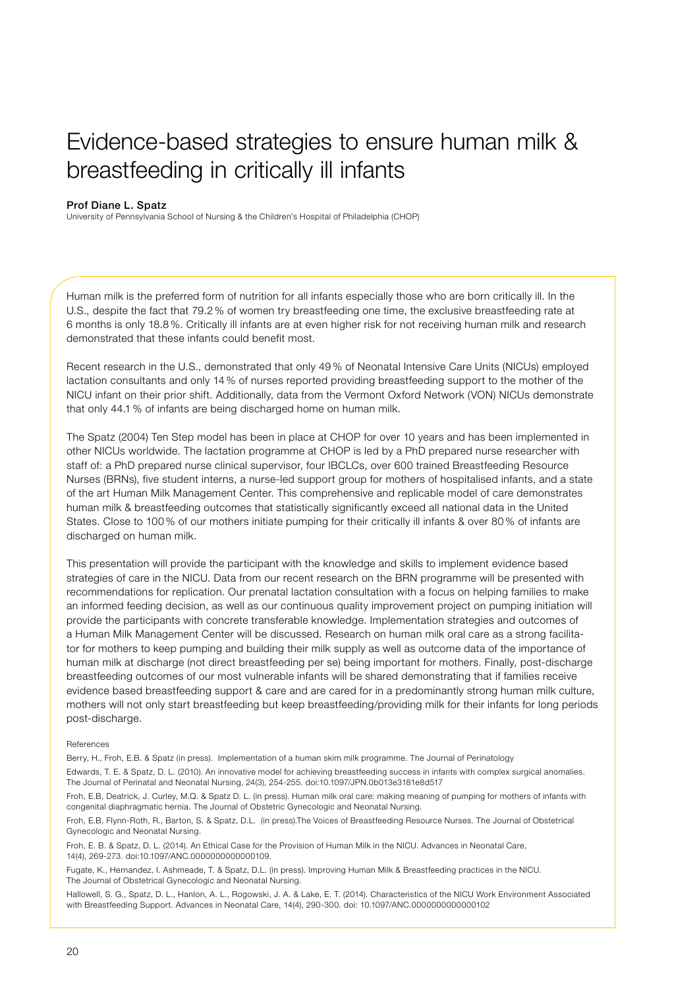## Evidence-based strategies to ensure human milk & breastfeeding in critically ill infants

## Prof Diane L. Spatz

University of Pennsylvania School of Nursing & the Children's Hospital of Philadelphia (CHOP)

Human milk is the preferred form of nutrition for all infants especially those who are born critically ill. In the U.S., despite the fact that 79.2 % of women try breastfeeding one time, the exclusive breastfeeding rate at 6 months is only 18.8 %. Critically ill infants are at even higher risk for not receiving human milk and research demonstrated that these infants could benefit most.

Recent research in the U.S., demonstrated that only 49 % of Neonatal Intensive Care Units (NICUs) employed lactation consultants and only 14 % of nurses reported providing breastfeeding support to the mother of the NICU infant on their prior shift. Additionally, data from the Vermont Oxford Network (VON) NICUs demonstrate that only 44.1 % of infants are being discharged home on human milk.

The Spatz (2004) Ten Step model has been in place at CHOP for over 10 years and has been implemented in other NICUs worldwide. The lactation programme at CHOP is led by a PhD prepared nurse researcher with staff of: a PhD prepared nurse clinical supervisor, four IBCLCs, over 600 trained Breastfeeding Resource Nurses (BRNs), five student interns, a nurse-led support group for mothers of hospitalised infants, and a state of the art Human Milk Management Center. This comprehensive and replicable model of care demonstrates human milk & breastfeeding outcomes that statistically significantly exceed all national data in the United States. Close to 100 % of our mothers initiate pumping for their critically ill infants & over 80 % of infants are discharged on human milk.

This presentation will provide the participant with the knowledge and skills to implement evidence based strategies of care in the NICU. Data from our recent research on the BRN programme will be presented with recommendations for replication. Our prenatal lactation consultation with a focus on helping families to make an informed feeding decision, as well as our continuous quality improvement project on pumping initiation will provide the participants with concrete transferable knowledge. Implementation strategies and outcomes of a Human Milk Management Center will be discussed. Research on human milk oral care as a strong facilitator for mothers to keep pumping and building their milk supply as well as outcome data of the importance of human milk at discharge (not direct breastfeeding per se) being important for mothers. Finally, post-discharge breastfeeding outcomes of our most vulnerable infants will be shared demonstrating that if families receive evidence based breastfeeding support & care and are cared for in a predominantly strong human milk culture, mothers will not only start breastfeeding but keep breastfeeding/providing milk for their infants for long periods post-discharge.

## References

Berry, H., Froh, E.B. & Spatz (in press). Implementation of a human skim milk programme. The Journal of Perinatology

Edwards, T. E. & Spatz, D. L. (2010). An innovative model for achieving breastfeeding success in infants with complex surgical anomalies. The Journal of Perinatal and Neonatal Nursing, 24(3), 254-255. doi:10.1097/JPN.0b013e3181e8d517

Froh, E.B, Deatrick, J. Curley, M.Q. & Spatz D. L. (in press). Human milk oral care: making meaning of pumping for mothers of infants with congenital diaphragmatic hernia. The Journal of Obstetric Gynecologic and Neonatal Nursing.

Froh, E.B, Flynn-Roth, R., Barton, S. & Spatz, D.L. (in press).The Voices of Breastfeeding Resource Nurses. The Journal of Obstetrical Gynecologic and Neonatal Nursing.

Froh, E. B. & Spatz, D. L. (2014). An Ethical Case for the Provision of Human Milk in the NICU. Advances in Neonatal Care, 14(4), 269-273. doi:10.1097/ANC.0000000000000109.

Fugate, K., Hernandez, I. Ashmeade, T. & Spatz, D.L. (in press). Improving Human Milk & Breastfeeding practices in the NICU. The Journal of Obstetrical Gynecologic and Neonatal Nursing.

Hallowell, S. G., Spatz, D. L., Hanlon, A. L., Rogowski, J. A. & Lake, E. T. (2014). Characteristics of the NICU Work Environment Associated with Breastfeeding Support. Advances in Neonatal Care, 14(4), 290-300. doi: 10.1097/ANC.0000000000000102